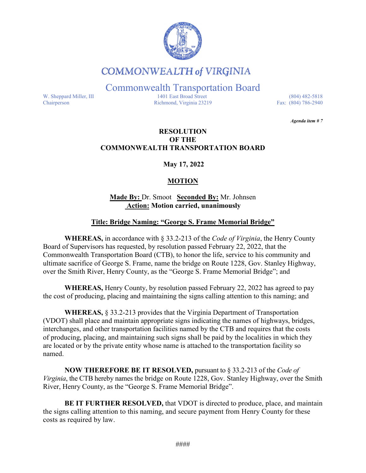

## **COMMONWEALTH of VIRGINIA**

Commonwealth Transportation Board

W. Sheppard Miller, III 1401 East Broad Street (804) 482-5818<br>Chairperson Richmond, Virginia 23219 Fax: (804) 786-2940 Richmond, Virginia 23219

*Agenda item # 7* 

#### **RESOLUTION OF THE COMMONWEALTH TRANSPORTATION BOARD**

**May 17, 2022**

### **MOTION**

#### **Made By:** Dr. Smoot **Seconded By:** Mr. Johnsen **Action: Motion carried, unanimously**

#### **Title: Bridge Naming: "George S. Frame Memorial Bridge"**

**WHEREAS,** in accordance with § 33.2-213 of the *Code of Virginia*, the Henry County Board of Supervisors has requested, by resolution passed February 22, 2022, that the Commonwealth Transportation Board (CTB), to honor the life, service to his community and ultimate sacrifice of George S. Frame, name the bridge on Route 1228, Gov. Stanley Highway, over the Smith River, Henry County, as the "George S. Frame Memorial Bridge"; and

**WHEREAS,** Henry County, by resolution passed February 22, 2022 has agreed to pay the cost of producing, placing and maintaining the signs calling attention to this naming; and

**WHEREAS,** § 33.2-213 provides that the Virginia Department of Transportation (VDOT) shall place and maintain appropriate signs indicating the names of highways, bridges, interchanges, and other transportation facilities named by the CTB and requires that the costs of producing, placing, and maintaining such signs shall be paid by the localities in which they are located or by the private entity whose name is attached to the transportation facility so named.

**NOW THEREFORE BE IT RESOLVED,** pursuant to § 33.2-213 of the *Code of Virginia*, the CTB hereby names the bridge on Route 1228, Gov. Stanley Highway, over the Smith River, Henry County, as the "George S. Frame Memorial Bridge".

**BE IT FURTHER RESOLVED,** that VDOT is directed to produce, place, and maintain the signs calling attention to this naming, and secure payment from Henry County for these costs as required by law.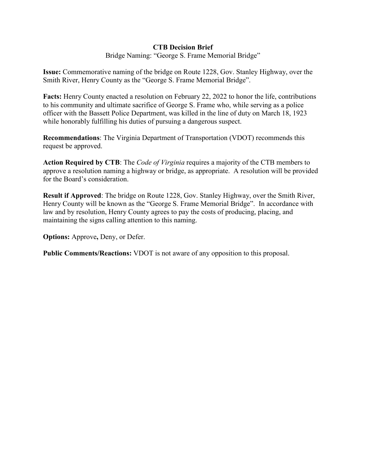#### **CTB Decision Brief**

Bridge Naming: "George S. Frame Memorial Bridge"

**Issue:** Commemorative naming of the bridge on Route 1228, Gov. Stanley Highway, over the Smith River, Henry County as the "George S. Frame Memorial Bridge".

**Facts:** Henry County enacted a resolution on February 22, 2022 to honor the life, contributions to his community and ultimate sacrifice of George S. Frame who, while serving as a police officer with the Bassett Police Department, was killed in the line of duty on March 18, 1923 while honorably fulfilling his duties of pursuing a dangerous suspect.

**Recommendations**: The Virginia Department of Transportation (VDOT) recommends this request be approved.

**Action Required by CTB**: The *Code of Virginia* requires a majority of the CTB members to approve a resolution naming a highway or bridge, as appropriate. A resolution will be provided for the Board's consideration.

**Result if Approved**: The bridge on Route 1228, Gov. Stanley Highway, over the Smith River, Henry County will be known as the "George S. Frame Memorial Bridge". In accordance with law and by resolution, Henry County agrees to pay the costs of producing, placing, and maintaining the signs calling attention to this naming.

**Options:** Approve**,** Deny, or Defer.

**Public Comments/Reactions:** VDOT is not aware of any opposition to this proposal.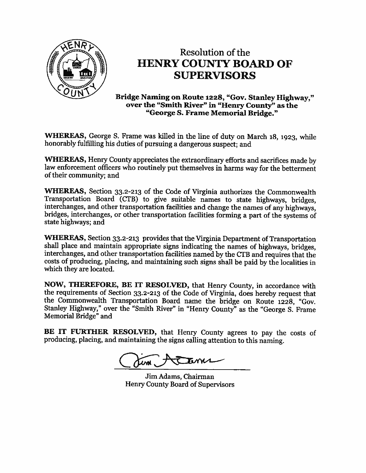

# **Resolution of the HENRY COUNTY BOARD OF SUPERVISORS**

Bridge Naming on Route 1228, "Gov. Stanley Highway," over the "Smith River" in "Henry County" as the "George S. Frame Memorial Bridge."

WHEREAS, George S. Frame was killed in the line of duty on March 18, 1923, while honorably fulfilling his duties of pursuing a dangerous suspect; and

WHEREAS, Henry County appreciates the extraordinary efforts and sacrifices made by law enforcement officers who routinely put themselves in harms way for the betterment of their community; and

**WHEREAS,** Section 33.2-213 of the Code of Virginia authorizes the Commonwealth Transportation Board (CTB) to give suitable names to state highways, bridges, interchanges, and other transportation facilities and change the names of any highways, bridges, interchanges, or other transportation facilities forming a part of the systems of state highways; and

**WHEREAS,** Section 33.2-213 provides that the Virginia Department of Transportation shall place and maintain appropriate signs indicating the names of highways, bridges, interchanges, and other transportation facilities named by the CTB and requires that the costs of producing, placing, and maintaining such signs shall be paid by the localities in which they are located.

NOW, THEREFORE, BE IT RESOLVED, that Henry County, in accordance with the requirements of Section 33.2-213 of the Code of Virginia, does hereby request that the Commonwealth Transportation Board name the bridge on Route 1228, "Gov. Stanley Highway," over the "Smith River" in "Henry County" as the "George S. Frame Memorial Bridge" and

BE IT FURTHER RESOLVED, that Henry County agrees to pay the costs of producing, placing, and maintaining the signs calling attention to this naming.

**T**enns

Jim Adams, Chairman Henry County Board of Supervisors